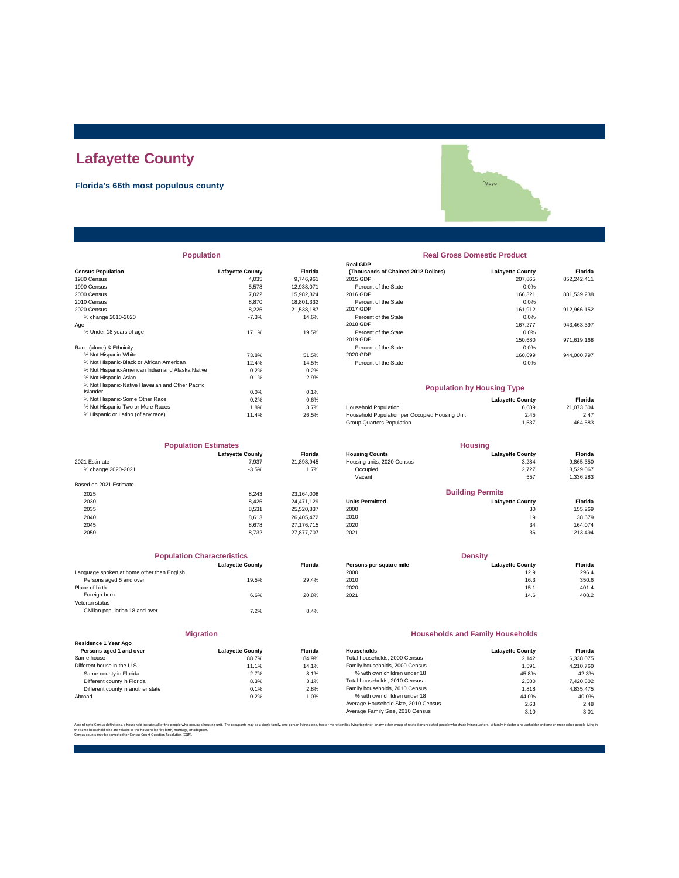### **Lafayette County**

#### **Florida's 66th most populous county**

| <b>Population</b>                                |                         |                | <b>Real Gross Domestic Product</b>             |                         |             |  |
|--------------------------------------------------|-------------------------|----------------|------------------------------------------------|-------------------------|-------------|--|
|                                                  |                         |                | <b>Real GDP</b>                                |                         |             |  |
| <b>Census Population</b>                         | <b>Lafayette County</b> | <b>Florida</b> | (Thousands of Chained 2012 Dollars)            | <b>Lafayette County</b> | Florida     |  |
| 1980 Census                                      | 4,035                   | 9,746,961      | 2015 GDP                                       | 207,865                 | 852,242,411 |  |
| 1990 Census                                      | 5,578                   | 12.938.071     | Percent of the State                           | 0.0%                    |             |  |
| 2000 Census                                      | 7.022                   | 15,982,824     | 2016 GDP                                       | 166,321                 | 881,539,238 |  |
| 2010 Census                                      | 8,870                   | 18,801,332     | Percent of the State                           | 0.0%                    |             |  |
| 2020 Census                                      | 8.226                   | 21.538.187     | 2017 GDP                                       | 161.912                 | 912,966,152 |  |
| % change 2010-2020                               | $-7.3%$                 | 14.6%          | Percent of the State                           | 0.0%                    |             |  |
| Aqe                                              |                         |                | 2018 GDP                                       | 167,277                 | 943,463,397 |  |
| % Under 18 years of age                          | 17.1%                   | 19.5%          | Percent of the State                           | 0.0%                    |             |  |
|                                                  |                         |                | 2019 GDP                                       | 150,680                 | 971,619,168 |  |
| Race (alone) & Ethnicity                         |                         |                | Percent of the State                           | 0.0%                    |             |  |
| % Not Hispanic-White                             | 73.8%                   | 51.5%          | 2020 GDP                                       | 160,099                 | 944,000,797 |  |
| % Not Hispanic-Black or African American         | 12.4%                   | 14.5%          | Percent of the State                           | 0.0%                    |             |  |
| % Not Hispanic-American Indian and Alaska Native | 0.2%                    | 0.2%           |                                                |                         |             |  |
| % Not Hispanic-Asian                             | 0.1%                    | 2.9%           |                                                |                         |             |  |
| % Not Hispanic-Native Hawaiian and Other Pacific |                         |                | <b>Population by Housing Type</b>              |                         |             |  |
| Islander                                         | 0.0%                    | 0.1%           |                                                |                         |             |  |
| % Not Hispanic-Some Other Race                   | 0.2%                    | 0.6%           |                                                | <b>Lafayette County</b> | Florida     |  |
| % Not Hispanic-Two or More Races                 | 1.8%                    | 3.7%           | Household Population                           | 6.689                   | 21,073,604  |  |
| % Hispanic or Latino (of any race)               | 11.4%                   | 26.5%          | Household Population per Occupied Housing Unit | 2.45                    | 2.47        |  |
|                                                  |                         |                |                                                |                         |             |  |

| <b>Population Estimates</b> |                         | <b>Housing</b> |                            |                         |           |
|-----------------------------|-------------------------|----------------|----------------------------|-------------------------|-----------|
|                             | <b>Lafayette County</b> | <b>Florida</b> | <b>Housing Counts</b>      | <b>Lafayette County</b> | Florida   |
| 2021 Estimate               | 7,937                   | 21,898,945     | Housing units, 2020 Census | 3,284                   | 9,865,350 |
| % change 2020-2021          | $-3.5%$                 | 1.7%           | Occupied                   | 2.727                   | 8,529,067 |
|                             |                         |                | Vacant                     | 557                     | 1,336,283 |
| Based on 2021 Estimate      |                         |                |                            |                         |           |
| 2025                        | 8.243                   | 23,164,008     |                            | <b>Building Permits</b> |           |
| 2030                        | 8.426                   | 24.471.129     | <b>Units Permitted</b>     | <b>Lafayette County</b> | Florida   |
| 2035                        | 8.531                   | 25,520,837     | 2000                       | 30                      | 155,269   |
| 2040                        | 8.613                   | 26.405.472     | 2010                       | 19                      | 38,679    |
| 2045                        | 8.678                   | 27.176.715     | 2020                       | 34                      | 164.074   |
| 2050                        | 8.732                   | 27.877.707     | 2021                       | 36                      | 213,494   |

|                                            | <b>Population Characteristics</b> |                |
|--------------------------------------------|-----------------------------------|----------------|
|                                            | <b>Lafavette County</b>           | <b>Florida</b> |
| Language spoken at home other than English |                                   |                |
| Persons aged 5 and over                    | 19.5%                             | 29.4%          |
| Place of birth                             |                                   |                |
| Foreign born                               | 6.6%                              | 20.8%          |
| Veteran status                             |                                   |                |
| Civilian population 18 and over            | 7.2%                              | 8.4%           |
|                                            |                                   |                |

|                                                 | <b>Migration</b>        |       |  |  |
|-------------------------------------------------|-------------------------|-------|--|--|
| Residence 1 Year Ago<br>Persons aged 1 and over | <b>Lafayette County</b> | Flori |  |  |
| Same house                                      | 88.7%                   | 84.9  |  |  |
| Different house in the U.S.                     | 11.1%                   | 14.1  |  |  |
| Same county in Florida                          | 2.7%                    | 8.1   |  |  |
| Different county in Florida                     | 8.3%                    | 3.1   |  |  |
| Different county in another state               | 0.1%                    | 2.8   |  |  |

# \*Mayo

## **Real GDP** Percent of the State 0.0% **Real Gross Domestic Product**

#### **Population by Housing Type**

| % Not Hispanic-Some Other Race     | 0.2% | 0.6%  |                                                | <b>Lafavette County</b> | Florida    |
|------------------------------------|------|-------|------------------------------------------------|-------------------------|------------|
| % Not Hispanic-Two or More Races   | 1.8% | 3.7%  | <b>Household Population</b>                    | 6.689                   | 21.073.604 |
| % Hispanic or Latino (of any race) | 1.4% | 26.5% | Household Population per Occupied Housing Unit | 2.45                    | 2.47       |
|                                    |      |       | Group Quarters Population                      | . 537                   | 464,583    |

| <b>Population Estimates</b> |                         | <b>Housing</b> |                            |                         |           |
|-----------------------------|-------------------------|----------------|----------------------------|-------------------------|-----------|
|                             | <b>Lafayette County</b> | <b>Florida</b> | <b>Housing Counts</b>      | <b>Lafavette County</b> | Florida   |
| 2021 Estimate               | 7.937                   | 21,898,945     | Housing units, 2020 Census | 3,284                   | 9,865,350 |
| % change 2020-2021          | $-3.5%$                 | 1.7%           | Occupied                   | 2.727                   | 8,529,067 |
|                             |                         |                | Vacant                     | 557                     | 1,336,283 |
| Based on 2021 Estimate      |                         |                |                            |                         |           |
| 2025                        | 8.243                   | 23.164.008     |                            | <b>Building Permits</b> |           |
| 2030                        | 8.426                   | 24.471.129     | <b>Units Permitted</b>     | <b>Lafavette County</b> | Florida   |
| 2035                        | 8.531                   | 25.520.837     | 2000                       | 30                      | 155.269   |
| 2040                        | 8.613                   | 26.405.472     | 2010                       | 19                      | 38.679    |
| 2045                        | 8.678                   | 27.176.715     | 2020                       | 34                      | 164.074   |
|                             |                         |                |                            |                         |           |

| Florida |
|---------|
| 296.4   |
| 350.6   |
| 401.4   |
| 408.2   |
|         |

#### **Households and Family Households**

| Residence 1 Year Ago              |                         |                |                                     |                         |           |
|-----------------------------------|-------------------------|----------------|-------------------------------------|-------------------------|-----------|
| Persons aged 1 and over           | <b>Lafavette County</b> | <b>Florida</b> | Households                          | <b>Lafavette County</b> | Florida   |
| Same house                        | 88.7%                   | 84.9%          | Total households, 2000 Census       | 2.142                   | 6.338.075 |
| Different house in the U.S.       | 11.1%                   | 14.1%          | Family households, 2000 Census      | 1.591                   | 4.210.760 |
| Same county in Florida            | 2.7%                    | 8.1%           | % with own children under 18        | 45.8%                   | 42.3%     |
| Different county in Florida       | 8.3%                    | 3.1%           | Total households, 2010 Census       | 2.580                   | 7,420,802 |
| Different county in another state | 0.1%                    | 2.8%           | Family households, 2010 Census      | 1.818                   | 4.835.475 |
| Abroad                            | 0.2%                    | 1.0%           | % with own children under 18        | 44.0%                   | 40.0%     |
|                                   |                         |                | Average Household Size, 2010 Census | 2.63                    | 2.48      |
|                                   |                         |                | Average Family Size, 2010 Census    | 3.10                    | 3.01      |

.<br>The families living together, or any other group of related or unrelated people who share living quarters. A family includes a householder and one or more other people the same household who are related to the householder by birth, marriage, or adoption. Census counts may be corrected for Census Count Question Resolution (CQR).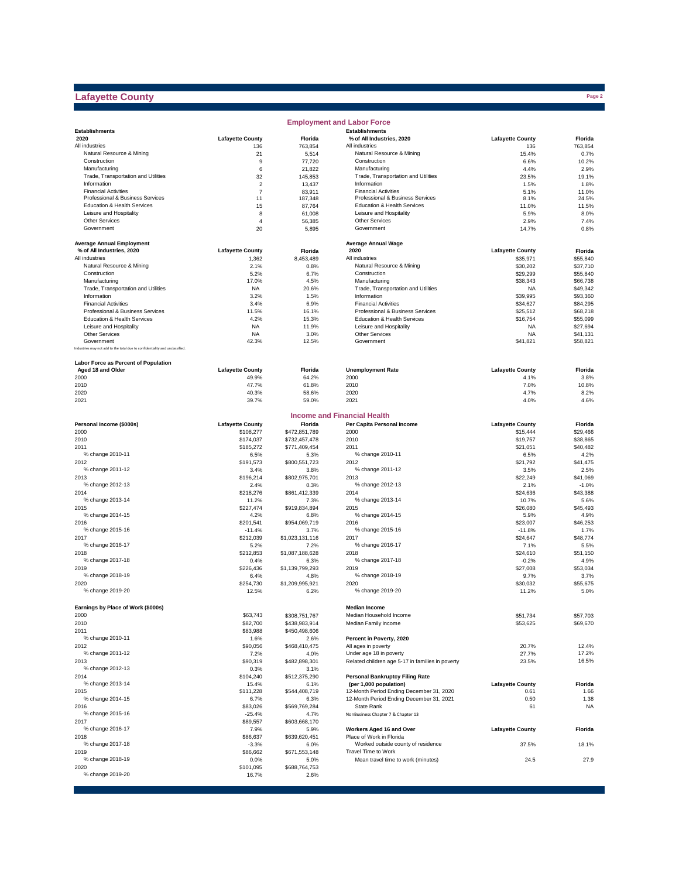#### **Lafayette County**

|                                                                              |                         |                         | <b>Employment and Labor Force</b>                         |                         |                      |
|------------------------------------------------------------------------------|-------------------------|-------------------------|-----------------------------------------------------------|-------------------------|----------------------|
| <b>Establishments</b>                                                        |                         |                         | <b>Establishments</b>                                     |                         |                      |
| 2020                                                                         | <b>Lafayette County</b> | Florida                 | % of All Industries, 2020                                 | <b>Lafayette County</b> | Florida              |
| All industries                                                               | 136                     | 763,854                 | All industries                                            | 136                     | 763,854              |
| Natural Resource & Mining<br>Construction                                    | 21<br>9                 | 5,514<br>77,720         | Natural Resource & Mining<br>Construction                 | 15.4%<br>6.6%           | 0.7%<br>10.2%        |
| Manufacturing                                                                | 6                       | 21,822                  | Manufacturing                                             | 4.4%                    | 2.9%                 |
| Trade, Transportation and Utilities                                          | 32                      | 145,853                 | Trade, Transportation and Utilities                       | 23.5%                   | 19.1%                |
| Information                                                                  | $\overline{2}$          | 13,437                  | Information                                               | 1.5%                    | 1.8%                 |
| <b>Financial Activities</b>                                                  | $\overline{7}$          | 83,911                  | <b>Financial Activities</b>                               | 5.1%                    | 11.0%                |
| Professional & Business Services                                             | 11                      | 187,348                 | Professional & Business Services                          | 8.1%                    | 24.5%                |
| Education & Health Services                                                  | 15                      | 87,764                  | Education & Health Services                               | 11.0%                   | 11.5%                |
| Leisure and Hospitality                                                      | 8                       | 61,008                  | Leisure and Hospitality                                   | 5.9%                    | 8.0%                 |
| <b>Other Services</b>                                                        | $\overline{4}$          | 56,385                  | Other Services                                            | 2.9%                    | 7.4%                 |
| Government                                                                   | 20                      | 5,895                   | Government                                                | 14.7%                   | 0.8%                 |
| <b>Average Annual Employment</b>                                             |                         |                         | <b>Average Annual Wage</b>                                |                         |                      |
| % of All Industries, 2020                                                    | <b>Lafayette County</b> | Florida                 | 2020                                                      | <b>Lafayette County</b> | Florida              |
| All industries                                                               | 1,362                   | 8,453,489               | All industries                                            | \$35,971                | \$55,840             |
| Natural Resource & Mining                                                    | 2.1%                    | 0.8%                    | Natural Resource & Mining                                 | \$30,202                | \$37,710             |
| Construction                                                                 | 5.2%                    | 6.7%                    | Construction                                              | \$29,299                | \$55,840             |
| Manufacturing                                                                | 17.0%                   | 4.5%                    | Manufacturing                                             | \$38,343                | \$66,738             |
| Trade, Transportation and Utilities<br>Information                           | NA<br>3.2%              | 20.6%                   | Trade, Transportation and Utilities<br>Information        | <b>NA</b>               | \$49,342<br>\$93,360 |
| <b>Financial Activities</b>                                                  | 3.4%                    | 1.5%<br>6.9%            | <b>Financial Activities</b>                               | \$39,995<br>\$34,627    | \$84,295             |
| Professional & Business Services                                             | 11.5%                   | 16.1%                   | Professional & Business Services                          | \$25,512                | \$68,218             |
| Education & Health Services                                                  | 4.2%                    | 15.3%                   | Education & Health Services                               | \$16,754                | \$55,099             |
| Leisure and Hospitality                                                      | <b>NA</b>               | 11.9%                   | Leisure and Hospitality                                   | <b>NA</b>               | \$27,694             |
| <b>Other Services</b>                                                        | <b>NA</b>               | 3.0%                    | Other Services                                            | <b>NA</b>               | \$41,131             |
| Government                                                                   | 42.3%                   | 12.5%                   | Government                                                | \$41,821                | \$58,821             |
| Industries may not add to the total due to confidentiality and unclassified. |                         |                         |                                                           |                         |                      |
| Labor Force as Percent of Population                                         |                         |                         |                                                           |                         |                      |
| Aged 18 and Older                                                            | <b>Lafayette County</b> | Florida                 | <b>Unemployment Rate</b>                                  | <b>Lafayette County</b> | Florida              |
| 2000                                                                         | 49.9%                   | 64.2%                   | 2000                                                      | 4.1%                    | 3.8%                 |
| 2010                                                                         | 47.7%                   | 61.8%                   | 2010                                                      | 7.0%                    | 10.8%                |
| 2020                                                                         | 40.3%                   | 58.6%                   | 2020                                                      | 4.7%                    | 8.2%                 |
| 2021                                                                         | 39.7%                   | 59.0%                   | 2021                                                      | 4.0%                    | 4.6%                 |
|                                                                              |                         |                         | <b>Income and Financial Health</b>                        |                         |                      |
| Personal Income (\$000s)                                                     | <b>Lafayette County</b> | Florida                 | Per Capita Personal Income                                | <b>Lafayette County</b> | Florida              |
| 2000                                                                         | \$108,277               | \$472,851,789           | 2000                                                      | \$15,444                | \$29,466             |
| 2010                                                                         | \$174,037               | \$732,457,478           | 2010                                                      | \$19,757                | \$38,865             |
| 2011                                                                         | \$185,272               | \$771,409,454           | 2011                                                      | \$21,051                | \$40,482             |
| % change 2010-11                                                             | 6.5%                    | 5.3%                    | % change 2010-11                                          | 6.5%                    | 4.2%<br>\$41,475     |
| 2012<br>% change 2011-12                                                     | \$191,573<br>3.4%       | \$800,551,723<br>3.8%   | 2012<br>% change 2011-12                                  | \$21,792<br>3.5%        | 2.5%                 |
| 2013                                                                         | \$196,214               | \$802,975,701           | 2013                                                      | \$22,249                | \$41,069             |
| % change 2012-13                                                             | 2.4%                    | 0.3%                    | % change 2012-13                                          | 2.1%                    | $-1.0%$              |
| 2014                                                                         | \$218,276               | \$861,412,339           | 2014                                                      | \$24,636                | \$43,388             |
| % change 2013-14                                                             | 11.2%                   | 7.3%                    | % change 2013-14                                          | 10.7%                   | 5.6%                 |
| 2015                                                                         | \$227,474               | \$919,834,894           | 2015                                                      | \$26,080                | \$45,493             |
| % change 2014-15                                                             | 4.2%                    | 6.8%                    | % change 2014-15                                          | 5.9%                    | 4.9%                 |
| 2016                                                                         | \$201,541               | \$954,069,719           | 2016                                                      | \$23,007                | \$46,253             |
| % change 2015-16                                                             | $-11.4%$                | 3.7%                    | % change 2015-16                                          | $-11.8%$                | 1.7%                 |
| 2017                                                                         | \$212,039               | \$1,023,131,116         | 2017                                                      | \$24,647                | \$48,774             |
| % change 2016-17                                                             | 5.2%                    | 7.2%                    | % change 2016-17                                          | 7.1%                    | 5.5%                 |
| 2018                                                                         | \$212,853               | \$1,087,188,628         | 2018                                                      | \$24,610                | \$51,150             |
| % change 2017-18                                                             | 0.4%                    | 6.3%                    | % change 2017-18                                          | $-0.2%$                 | 4.9%                 |
| 2019<br>% change 2018-19                                                     | \$226,436               | \$1,139,799,293         | 2019<br>% change 2018-19                                  | \$27,008                | \$53,034             |
| 2020                                                                         | 6.4%<br>\$254,730       | 4.8%<br>\$1,209,995,921 | 2020                                                      | 9.7%<br>\$30,032        | 3.7%<br>\$55,675     |
| % change 2019-20                                                             | 12.5%                   | 6.2%                    | % change 2019-20                                          | 11.2%                   | 5.0%                 |
|                                                                              |                         |                         |                                                           |                         |                      |
| Earnings by Place of Work (\$000s)                                           |                         |                         | <b>Median Income</b>                                      |                         |                      |
| 2000                                                                         | \$63,743                | \$308,751,767           | Median Household Income                                   | \$51,734                | \$57,703             |
| 2010                                                                         | \$82,700                | \$438,983,914           | Median Family Income                                      | \$53,625                | \$69,670             |
| 2011<br>% change 2010-11                                                     | \$83,988                | \$450,498,606           | Percent in Poverty, 2020                                  |                         |                      |
| 2012                                                                         | 1.6%<br>\$90,056        | 2.6%<br>\$468,410,475   | All ages in poverty                                       | 20.7%                   | 12.4%                |
| % change 2011-12                                                             | 7.2%                    | 4.0%                    | Under age 18 in poverty                                   | 27.7%                   | 17.2%                |
| 2013                                                                         | \$90,319                | \$482,898,301           | Related children age 5-17 in families in poverty          | 23.5%                   | 16.5%                |
| % change 2012-13                                                             | 0.3%                    | 3.1%                    |                                                           |                         |                      |
| 2014                                                                         | \$104,240               | \$512,375,290           | <b>Personal Bankruptcy Filing Rate</b>                    |                         |                      |
| % change 2013-14                                                             | 15.4%                   | 6.1%                    | (per 1,000 population)                                    | <b>Lafayette County</b> | Florida              |
| 2015                                                                         | \$111,228               | \$544,408,719           | 12-Month Period Ending December 31, 2020                  | 0.61                    | 1.66                 |
| % change 2014-15                                                             | 6.7%                    | 6.3%                    | 12-Month Period Ending December 31, 2021                  | 0.50                    | 1.38                 |
| 2016                                                                         | \$83,026                | \$569,769,284           | State Rank                                                | 61                      | <b>NA</b>            |
| % change 2015-16                                                             | $-25.4%$                | 4.7%                    | NonBusiness Chapter 7 & Chapter 13                        |                         |                      |
| 2017                                                                         | \$89,557                | \$603,668,170           |                                                           |                         |                      |
| % change 2016-17                                                             | 7.9%                    | 5.9%                    | Workers Aged 16 and Over                                  | <b>Lafayette County</b> | Florida              |
| 2018                                                                         | \$86,637                | \$639,620,451           | Place of Work in Florida                                  |                         |                      |
| % change 2017-18                                                             | $-3.3%$                 | 6.0%                    | Worked outside county of residence<br>Travel Time to Work | 37.5%                   | 18.1%                |
| 2019<br>% change 2018-19                                                     | \$86,662                | \$671,553,148           |                                                           |                         | 27.9                 |
| 2020                                                                         | 0.0%<br>\$101,095       | 5.0%<br>\$688,764,753   | Mean travel time to work (minutes)                        | 24.5                    |                      |
| % change 2019-20                                                             | 16.7%                   | 2.6%                    |                                                           |                         |                      |